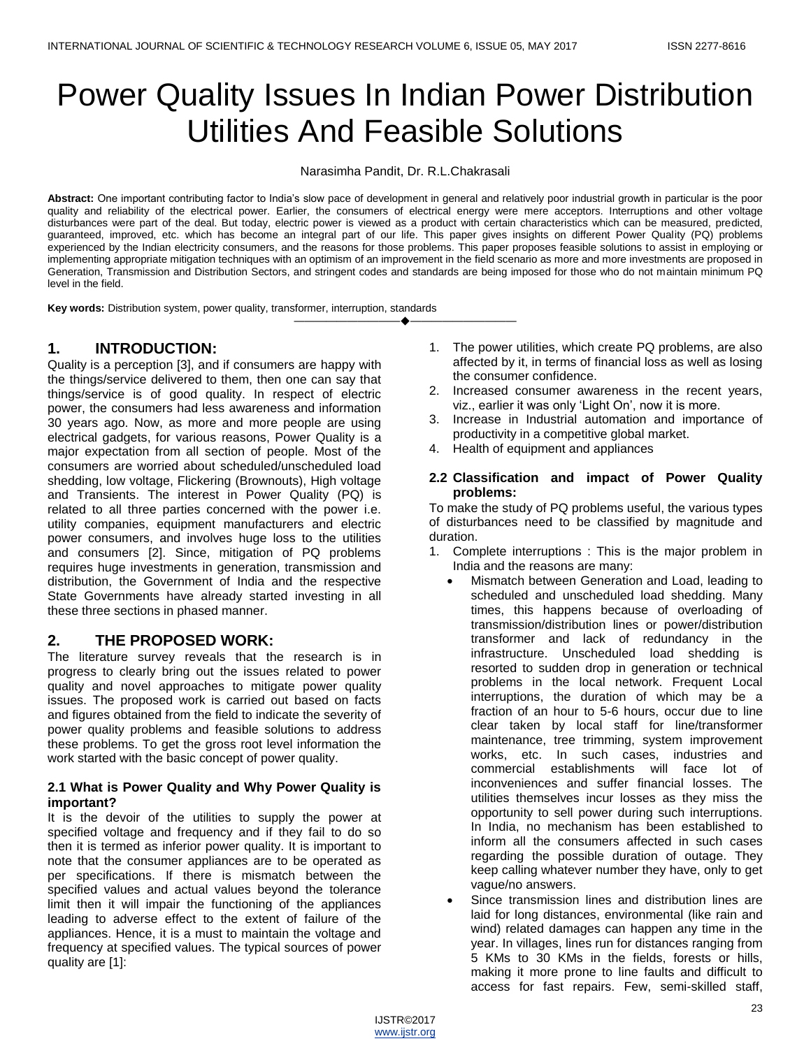# Power Quality Issues In Indian Power Distribution Utilities And Feasible Solutions

Narasimha Pandit, Dr. R.L.Chakrasali

**Abstract:** One important contributing factor to India's slow pace of development in general and relatively poor industrial growth in particular is the poor quality and reliability of the electrical power. Earlier, the consumers of electrical energy were mere acceptors. Interruptions and other voltage disturbances were part of the deal. But today, electric power is viewed as a product with certain characteristics which can be measured, predicted, guaranteed, improved, etc. which has become an integral part of our life. This paper gives insights on different Power Quality (PQ) problems experienced by the Indian electricity consumers, and the reasons for those problems. This paper proposes feasible solutions to assist in employing or implementing appropriate mitigation techniques with an optimism of an improvement in the field scenario as more and more investments are proposed in Generation, Transmission and Distribution Sectors, and stringent codes and standards are being imposed for those who do not maintain minimum PQ level in the field.

————————————————————

**Key words:** Distribution system, power quality, transformer, interruption, standards

# **1. INTRODUCTION:**

Quality is a perception [3], and if consumers are happy with the things/service delivered to them, then one can say that things/service is of good quality. In respect of electric power, the consumers had less awareness and information 30 years ago. Now, as more and more people are using electrical gadgets, for various reasons, Power Quality is a major expectation from all section of people. Most of the consumers are worried about scheduled/unscheduled load shedding, low voltage, Flickering (Brownouts), High voltage and Transients. The interest in Power Quality (PQ) is related to all three parties concerned with the power i.e. utility companies, equipment manufacturers and electric power consumers, and involves huge loss to the utilities and consumers [2]. Since, mitigation of PQ problems requires huge investments in generation, transmission and distribution, the Government of India and the respective State Governments have already started investing in all these three sections in phased manner.

# **2. THE PROPOSED WORK:**

The literature survey reveals that the research is in progress to clearly bring out the issues related to power quality and novel approaches to mitigate power quality issues. The proposed work is carried out based on facts and figures obtained from the field to indicate the severity of power quality problems and feasible solutions to address these problems. To get the gross root level information the work started with the basic concept of power quality.

#### **2.1 What is Power Quality and Why Power Quality is important?**

It is the devoir of the utilities to supply the power at specified voltage and frequency and if they fail to do so then it is termed as inferior power quality. It is important to note that the consumer appliances are to be operated as per specifications. If there is mismatch between the specified values and actual values beyond the tolerance limit then it will impair the functioning of the appliances leading to adverse effect to the extent of failure of the appliances. Hence, it is a must to maintain the voltage and frequency at specified values. The typical sources of power quality are [1]:

- 1. The power utilities, which create PQ problems, are also affected by it, in terms of financial loss as well as losing the consumer confidence.
- 2. Increased consumer awareness in the recent years, viz., earlier it was only 'Light On', now it is more.
- 3. Increase in Industrial automation and importance of productivity in a competitive global market.
- 4. Health of equipment and appliances

#### **2.2 Classification and impact of Power Quality problems:**

To make the study of PQ problems useful, the various types of disturbances need to be classified by magnitude and duration.

- 1. Complete interruptions : This is the major problem in India and the reasons are many:
	- Mismatch between Generation and Load, leading to scheduled and unscheduled load shedding. Many times, this happens because of overloading of transmission/distribution lines or power/distribution transformer and lack of redundancy in the infrastructure. Unscheduled load shedding is resorted to sudden drop in generation or technical problems in the local network. Frequent Local interruptions, the duration of which may be a fraction of an hour to 5-6 hours, occur due to line clear taken by local staff for line/transformer maintenance, tree trimming, system improvement works, etc. In such cases, industries and commercial establishments will face lot of inconveniences and suffer financial losses. The utilities themselves incur losses as they miss the opportunity to sell power during such interruptions. In India, no mechanism has been established to inform all the consumers affected in such cases regarding the possible duration of outage. They keep calling whatever number they have, only to get vague/no answers.
	- Since transmission lines and distribution lines are laid for long distances, environmental (like rain and wind) related damages can happen any time in the year. In villages, lines run for distances ranging from 5 KMs to 30 KMs in the fields, forests or hills, making it more prone to line faults and difficult to access for fast repairs. Few, semi-skilled staff,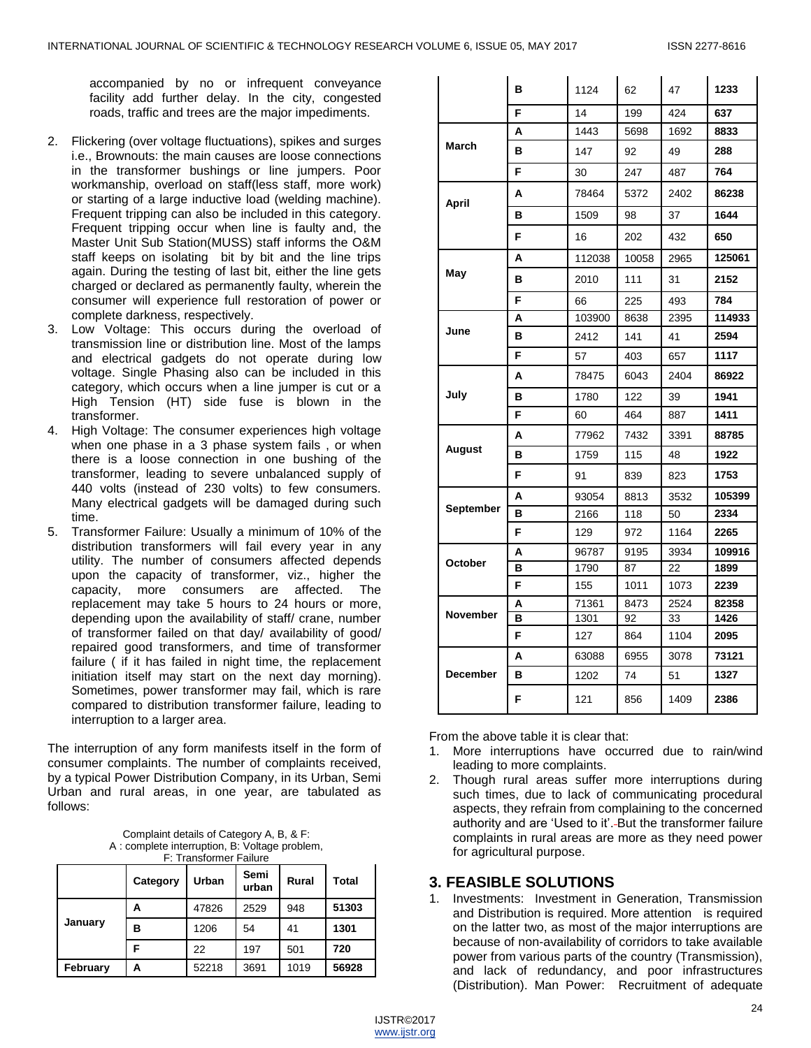accompanied by no or infrequent conveyance facility add further delay. In the city, congested roads, traffic and trees are the major impediments.

- 2. Flickering (over voltage fluctuations), spikes and surges i.e., Brownouts: the main causes are loose connections in the transformer bushings or line jumpers. Poor workmanship, overload on staff(less staff, more work) or starting of a large inductive load (welding machine). Frequent tripping can also be included in this category. Frequent tripping occur when line is faulty and, the Master Unit Sub Station(MUSS) staff informs the O&M staff keeps on isolating bit by bit and the line trips again. During the testing of last bit, either the line gets charged or declared as permanently faulty, wherein the consumer will experience full restoration of power or complete darkness, respectively.
- 3. Low Voltage: This occurs during the overload of transmission line or distribution line. Most of the lamps and electrical gadgets do not operate during low voltage. Single Phasing also can be included in this category, which occurs when a line jumper is cut or a High Tension (HT) side fuse is blown in the transformer.
- 4. High Voltage: The consumer experiences high voltage when one phase in a 3 phase system fails , or when there is a loose connection in one bushing of the transformer, leading to severe unbalanced supply of 440 volts (instead of 230 volts) to few consumers. Many electrical gadgets will be damaged during such time.
- 5. Transformer Failure: Usually a minimum of 10% of the distribution transformers will fail every year in any utility. The number of consumers affected depends upon the capacity of transformer, viz., higher the capacity, more consumers are affected. The replacement may take 5 hours to 24 hours or more, depending upon the availability of staff/ crane, number of transformer failed on that day/ availability of good/ repaired good transformers, and time of transformer failure ( if it has failed in night time, the replacement initiation itself may start on the next day morning). Sometimes, power transformer may fail, which is rare compared to distribution transformer failure, leading to interruption to a larger area.

The interruption of any form manifests itself in the form of consumer complaints. The number of complaints received, by a typical Power Distribution Company, in its Urban, Semi Urban and rural areas, in one year, are tabulated as follows:

Complaint details of Category A, B, & F: A : complete interruption, B: Voltage problem,

|          | Category | Urban | Semi<br>urban | Rural | Total |
|----------|----------|-------|---------------|-------|-------|
| January  | А        | 47826 | 2529          | 948   | 51303 |
|          | в        | 1206  | 54            | 41    | 1301  |
|          | F        | 22    | 197           | 501   | 720   |
| February | А        | 52218 | 3691          | 1019  | 56928 |

|                  | в  | 1124   | 62    | 47   | 1233   |
|------------------|----|--------|-------|------|--------|
|                  | F  | 14     | 199   | 424  | 637    |
| March            | A  | 1443   | 5698  | 1692 | 8833   |
|                  | в  | 147    | 92    | 49   | 288    |
|                  | F  | 30     | 247   | 487  | 764    |
| April            | А  | 78464  | 5372  | 2402 | 86238  |
|                  | в  | 1509   | 98    | 37   | 1644   |
|                  | F. | 16     | 202   | 432  | 650    |
|                  | A  | 112038 | 10058 | 2965 | 125061 |
| May              | в  | 2010   | 111   | 31   | 2152   |
|                  | F  | 66     | 225   | 493  | 784    |
|                  | A  | 103900 | 8638  | 2395 | 114933 |
| June             | в  | 2412   | 141   | 41   | 2594   |
|                  | F  | 57     | 403   | 657  | 1117   |
|                  | А  | 78475  | 6043  | 2404 | 86922  |
| July             | в  | 1780   | 122   | 39   | 1941   |
|                  | F  | 60     | 464   | 887  | 1411   |
|                  | A  | 77962  | 7432  | 3391 | 88785  |
| August           | в  | 1759   | 115   | 48   | 1922   |
|                  | F  | 91     | 839   | 823  | 1753   |
|                  | A  | 93054  | 8813  | 3532 | 105399 |
| <b>September</b> | в  | 2166   | 118   | 50   | 2334   |
|                  | F  | 129    | 972   | 1164 | 2265   |
|                  | А  | 96787  | 9195  | 3934 | 109916 |
| October          | в  | 1790   | 87    | 22   | 1899   |
|                  | F  | 155    | 1011  | 1073 | 2239   |
| November         | А  | 71361  | 8473  | 2524 | 82358  |
|                  | в  | 1301   | 92    | 33   | 1426   |
|                  | F  | 127    | 864   | 1104 | 2095   |
|                  | А  | 63088  | 6955  | 3078 | 73121  |
| <b>December</b>  | в  | 1202   | 74    | 51   | 1327   |
|                  | F  | 121    | 856   | 1409 | 2386   |

From the above table it is clear that:

- 1. More interruptions have occurred due to rain/wind leading to more complaints.
- 2. Though rural areas suffer more interruptions during such times, due to lack of communicating procedural aspects, they refrain from complaining to the concerned authority and are 'Used to it'.-But the transformer failure complaints in rural areas are more as they need power for agricultural purpose.

# **3. FEASIBLE SOLUTIONS**

1. Investments: Investment in Generation, Transmission and Distribution is required. More attention is required on the latter two, as most of the major interruptions are because of non-availability of corridors to take available power from various parts of the country (Transmission), and lack of redundancy, and poor infrastructures (Distribution). Man Power: Recruitment of adequate